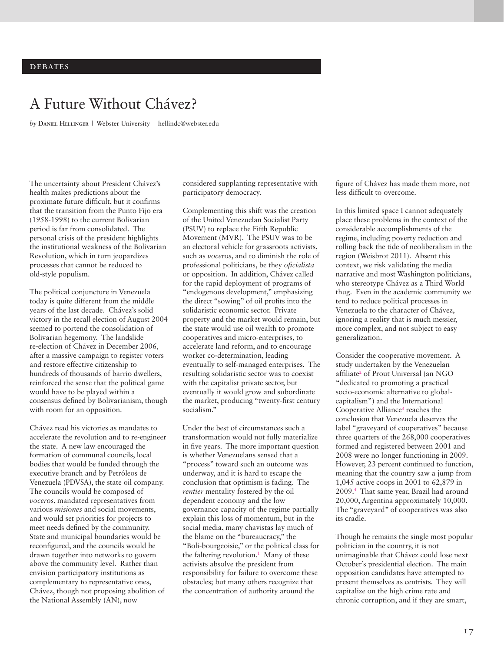# A Future Without Chávez?

*by* **Daniel Hellinger** | Webster University | hellindc@webster.edu

The uncertainty about President Chávez's health makes predictions about the proximate future difficult, but it confirms that the transition from the Punto Fijo era (1958-1998) to the current Bolivarian period is far from consolidated. The personal crisis of the president highlights the institutional weakness of the Bolivarian Revolution, which in turn jeopardizes processes that cannot be reduced to old-style populism.

The political conjuncture in Venezuela today is quite different from the middle years of the last decade. Chávez's solid victory in the recall election of August 2004 seemed to portend the consolidation of Bolivarian hegemony. The landslide re-election of Chávez in December 2006, after a massive campaign to register voters and restore effective citizenship to hundreds of thousands of barrio dwellers, reinforced the sense that the political game would have to be played within a consensus defined by Bolivarianism, though with room for an opposition.

Chávez read his victories as mandates to accelerate the revolution and to re-engineer the state. A new law encouraged the formation of communal councils, local bodies that would be funded through the executive branch and by Petróleos de Venezuela (PDVSA), the state oil company. The councils would be composed of *voceros*, mandated representatives from various *misiones* and social movements, and would set priorities for projects to meet needs defined by the community. State and municipal boundaries would be reconfigured, and the councils would be drawn together into networks to govern above the community level. Rather than envision participatory institutions as complementary to representative ones, Chávez, though not proposing abolition of the National Assembly (AN), now

considered supplanting representative with participatory democracy.

Complementing this shift was the creation of the United Venezuelan Socialist Party (PSUV) to replace the Fifth Republic Movement (MVR). The PSUV was to be an electoral vehicle for grassroots activists, such as *voceros*, and to diminish the role of professional politicians, be they *oficialista* or opposition. In addition, Chávez called for the rapid deployment of programs of "endogenous development," emphasizing the direct "sowing" of oil profits into the solidaristic economic sector. Private property and the market would remain, but the state would use oil wealth to promote cooperatives and micro-enterprises, to accelerate land reform, and to encourage worker co-determination, leading eventually to self-managed enterprises. The resulting solidaristic sector was to coexist with the capitalist private sector, but eventually it would grow and subordinate the market, producing "twenty-first century socialism."

Under the best of circumstances such a transformation would not fully materialize in five years. The more important question is whether Venezuelans sensed that a "process" toward such an outcome was underway, and it is hard to escape the conclusion that optimism is fading. The *rentier* mentality fostered by the oil dependent economy and the low governance capacity of the regime partially explain this loss of momentum, but in the social media, many chavistas lay much of the blame on the "bureaucracy," the "Boli-bourgeoisie," or the political class for the faltering revolution.<sup>1</sup> Many of these activists absolve the president from responsibility for failure to overcome these obstacles; but many others recognize that the concentration of authority around the

figure of Chávez has made them more, not less difficult to overcome.

In this limited space I cannot adequately place these problems in the context of the considerable accomplishments of the regime, including poverty reduction and rolling back the tide of neoliberalism in the region (Weisbrot 2011). Absent this context, we risk validating the media narrative and most Washington politicians, who stereotype Chávez as a Third World thug. Even in the academic community we tend to reduce political processes in Venezuela to the character of Chávez, ignoring a reality that is much messier, more complex, and not subject to easy generalization.

Consider the cooperative movement. A study undertaken by the Venezuelan affiliate<sup>2</sup> of Prout Universal (an NGO "dedicated to promoting a practical socio-economic alternative to globalcapitalism") and the International Cooperative Alliance<sup>3</sup> reaches the conclusion that Venezuela deserves the label "graveyard of cooperatives" because three quarters of the 268,000 cooperatives formed and registered between 2001 and 2008 were no longer functioning in 2009. However, 23 percent continued to function, meaning that the country saw a jump from 1,045 active coops in 2001 to 62,879 in 2009.4 That same year, Brazil had around 20,000, Argentina approximately 10,000. The "graveyard" of cooperatives was also its cradle.

Though he remains the single most popular politician in the country, it is not unimaginable that Chávez could lose next October's presidential election. The main opposition candidates have attempted to present themselves as centrists. They will capitalize on the high crime rate and chronic corruption, and if they are smart,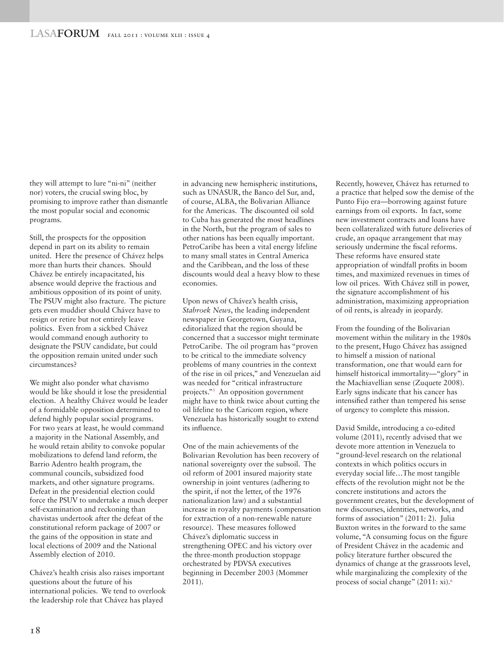they will attempt to lure "ni-ni" (neither nor) voters, the crucial swing bloc, by promising to improve rather than dismantle the most popular social and economic programs.

Still, the prospects for the opposition depend in part on its ability to remain united. Here the presence of Chávez helps more than hurts their chances. Should Chávez be entirely incapacitated, his absence would deprive the fractious and ambitious opposition of its point of unity. The PSUV might also fracture. The picture gets even muddier should Chávez have to resign or retire but not entirely leave politics. Even from a sickbed Chávez would command enough authority to designate the PSUV candidate, but could the opposition remain united under such circumstances?

We might also ponder what chavismo would be like should it lose the presidential election. A healthy Chávez would be leader of a formidable opposition determined to defend highly popular social programs. For two years at least, he would command a majority in the National Assembly, and he would retain ability to convoke popular mobilizations to defend land reform, the Barrio Adentro health program, the communal councils, subsidized food markets, and other signature programs. Defeat in the presidential election could force the PSUV to undertake a much deeper self-examination and reckoning than chavistas undertook after the defeat of the constitutional reform package of 2007 or the gains of the opposition in state and local elections of 2009 and the National Assembly election of 2010.

Chávez's health crisis also raises important questions about the future of his international policies. We tend to overlook the leadership role that Chávez has played

in advancing new hemispheric institutions, such as UNASUR, the Banco del Sur, and, of course, ALBA, the Bolivarian Alliance for the Americas. The discounted oil sold to Cuba has generated the most headlines in the North, but the program of sales to other nations has been equally important. PetroCaribe has been a vital energy lifeline to many small states in Central America and the Caribbean, and the loss of these discounts would deal a heavy blow to these economies.

Upon news of Chávez's health crisis, *Stabroek News*, the leading independent newspaper in Georgetown, Guyana, editorialized that the region should be concerned that a successor might terminate PetroCaribe. The oil program has "proven to be critical to the immediate solvency problems of many countries in the context of the rise in oil prices," and Venezuelan aid was needed for "critical infrastructure projects."5 An opposition government might have to think twice about cutting the oil lifeline to the Caricom region, where Venezuela has historically sought to extend its influence.

One of the main achievements of the Bolivarian Revolution has been recovery of national sovereignty over the subsoil. The oil reform of 2001 insured majority state ownership in joint ventures (adhering to the spirit, if not the letter, of the 1976 nationalization law) and a substantial increase in royalty payments (compensation for extraction of a non-renewable nature resource). These measures followed Chávez's diplomatic success in strengthening OPEC and his victory over the three-month production stoppage orchestrated by PDVSA executives beginning in December 2003 (Mommer 2011).

Recently, however, Chávez has returned to a practice that helped sow the demise of the Punto Fijo era—borrowing against future earnings from oil exports. In fact, some new investment contracts and loans have been collateralized with future deliveries of crude, an opaque arrangement that may seriously undermine the fiscal reforms. These reforms have ensured state appropriation of windfall profits in boom times, and maximized revenues in times of low oil prices. With Chávez still in power, the signature accomplishment of his administration, maximizing appropriation of oil rents, is already in jeopardy.

From the founding of the Bolivarian movement within the military in the 1980s to the present, Hugo Chávez has assigned to himself a mission of national transformation, one that would earn for himself historical immortality—"glory" in the Machiavellian sense (Zuquete 2008). Early signs indicate that his cancer has intensified rather than tempered his sense of urgency to complete this mission.

David Smilde, introducing a co-edited volume (2011), recently advised that we devote more attention in Venezuela to "ground-level research on the relational contexts in which politics occurs in everyday social life…The most tangible effects of the revolution might not be the concrete institutions and actors the government creates, but the development of new discourses, identities, networks, and forms of association" (2011: 2). Julia Buxton writes in the forward to the same volume, "A consuming focus on the figure of President Chávez in the academic and policy literature further obscured the dynamics of change at the grassroots level, while marginalizing the complexity of the process of social change" (2011: xi).<sup>6</sup>